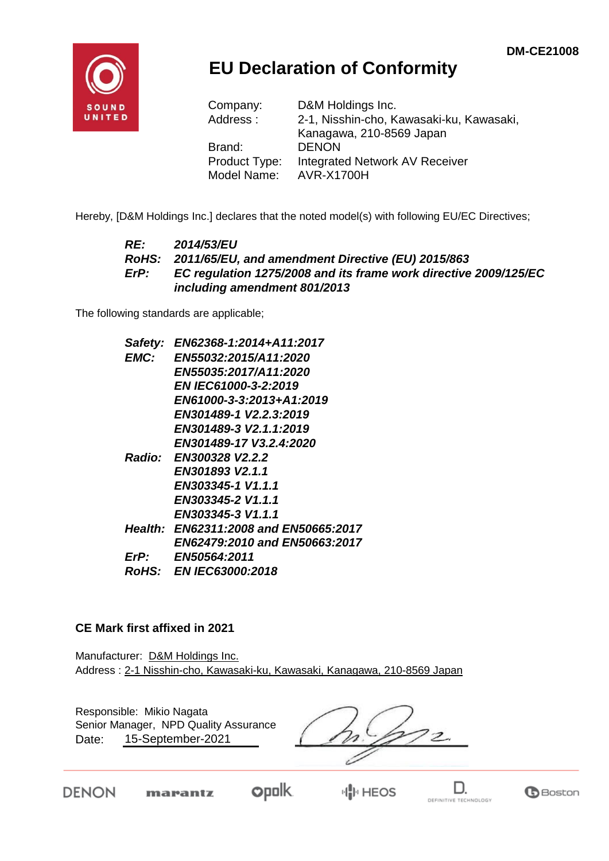

## **EU Declaration of Conformity**

| Company:      | D&M Holdings Inc.                        |
|---------------|------------------------------------------|
| Address:      | 2-1, Nisshin-cho, Kawasaki-ku, Kawasaki, |
|               | Kanagawa, 210-8569 Japan                 |
| Brand:        | <b>DENON</b>                             |
| Product Type: | <b>Integrated Network AV Receiver</b>    |
| Model Name:   | <b>AVR-X1700H</b>                        |

Hereby, [D&M Holdings Inc.] declares that the noted model(s) with following EU/EC Directives;

#### *RE: 2014/53/EU RoHS: 2011/65/EU, and amendment Directive (EU) 2015/863 ErP: EC regulation 1275/2008 and its frame work directive 2009/125/EC including amendment 801/2013*

The following standards are applicable;

| Safety:     | EN62368-1:2014+A11:2017               |
|-------------|---------------------------------------|
| <b>EMC:</b> | <b>EN55032:2015/A11:2020</b>          |
|             | EN55035:2017/A11:2020                 |
|             | <b>EN IEC61000-3-2:2019</b>           |
|             | EN61000-3-3:2013+A1:2019              |
|             | EN301489-1 V2.2.3:2019                |
|             | EN301489-3 V2.1.1:2019                |
|             | EN301489-17 V3.2.4:2020               |
|             | Radio: EN300328 V2.2.2                |
|             | EN301893 V2.1.1                       |
|             | EN303345-1 V1.1.1                     |
|             | EN303345-2 V1.1.1                     |
|             | EN303345-3 V1.1.1                     |
|             | Health: EN62311:2008 and EN50665:2017 |
|             | EN62479:2010 and EN50663:2017         |
| ErP:        | <b>EN50564:2011</b>                   |
|             | <i>RoHS: EN IEC63000:2018</i>         |

#### **CE Mark first affixed in 2021**

Manufacturer: D&M Holdings Inc. Address : 2-1 Nisshin-cho, Kawasaki-ku, Kawasaki, Kanagawa, 210-8569 Japan

| Responsible: Mikio Nagata<br>Senior Manager, NPD Quality Assurance<br>15-September-2021<br>Date: |  |  |
|--------------------------------------------------------------------------------------------------|--|--|
|                                                                                                  |  |  |

DENON

marantz

**opolk**